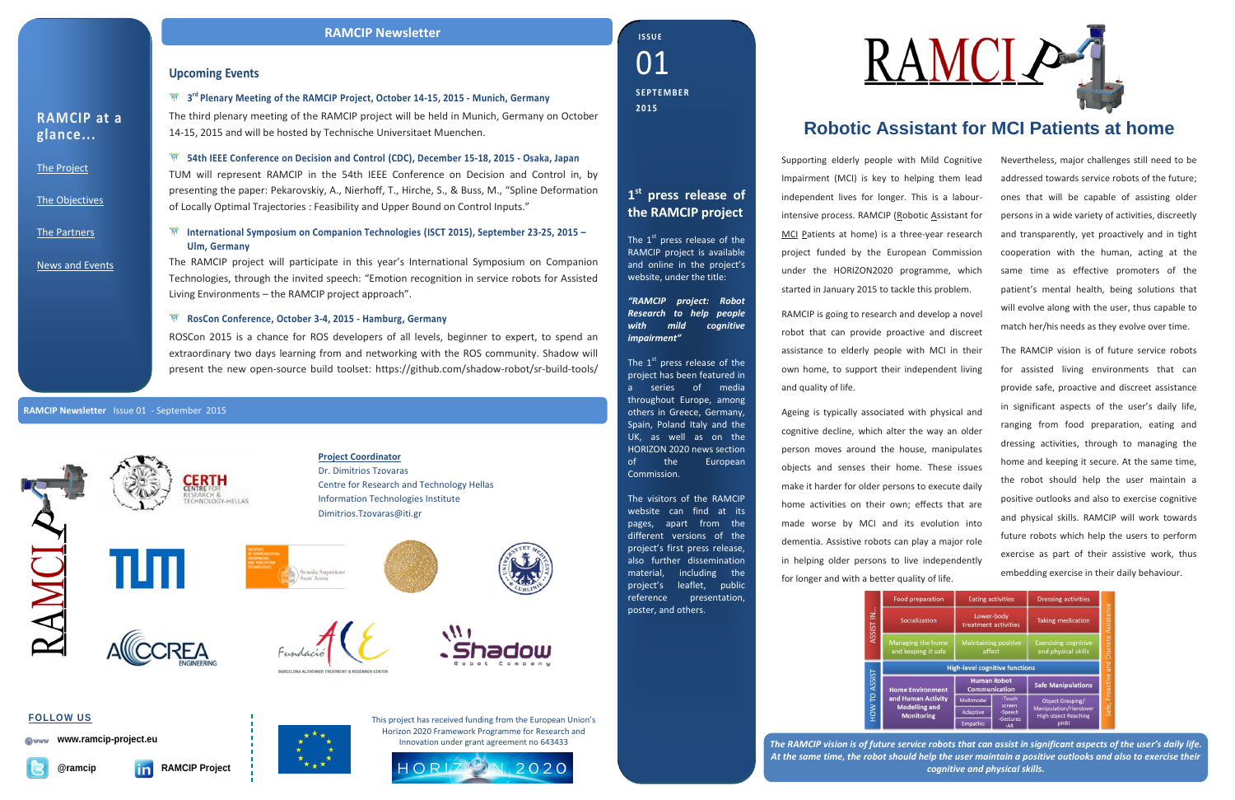*The RAMCIP vision is of future service robots that can assist in significant aspects of the user's daily life. At the same time, the robot should help the user maintain a positive outlooks and also to exercise their cognitive and physical skills.*



#### **Upcoming Events**

**3 rd [Plenary Meeting of the RAMCIP](http://195.251.117.127/adapt4ee/news/events.html) Project, October 14-15, 2015 - Munich, Germany**

The third plenary meeting of the RAMCIP project will be held in Munich, Germany on October 14-15, 2015 and will be hosted by Technische Universitaet Muenchen.

**54th IEEE Conference on Decision and Control (CDC), December 15-18, 2015 - Osaka, Japan** 

TUM will represent RAMCIP in the 54th IEEE Conference on Decision and Control in, by presenting the paper: Pekarovskiy, A., Nierhoff, T., Hirche, S., & Buss, M., "Spline Deformation of Locally Optimal Trajectories : Feasibility and Upper Bound on Control Inputs."

#### **International Symposium on Companion Technologies (ISCT 2015), September 23-25, 2015 – Ulm, Germany**

The RAMCIP project will participate in this year's International Symposium on Companion Technologies, through the invited speech: "Emotion recognition in service robots for Assisted Living Environments – the RAMCIP project approach".

#### **RosCon Conference, October 3-4, 2015 - Hamburg, Germany**

ROSCon 2015 is a chance for ROS developers of all levels, beginner to expert, to spend an extraordinary two days learning from and networking with the ROS community. Shadow will present the new open-source build toolset: https://github.com/shadow-robot/sr-build-tools/

**RAMCIP at a glance...**

[The Project](http://www.ramcip-project.eu/ramcip/project/index.html)

[The Objectives](http://www.ramcip-project.eu/ramcip/content/ramcip-objectives)

[The Partners](http://ramcip-project.eu/ramcip/partners)

[News and Events](http://www.ramcip-project.eu/ramcip/news)

# **Robotic Assistant for MCI Patients at home**

Supporting elderly people with Mild Cognitive Impairment (MCI) is key to helping them lead independent lives for longer. This is a labourintensive process. RAMCIP (Robotic Assistant for MCI Patients at home) is a three-year research project funded by the European Commission under the HORIZON2020 programme, which started in January 2015 to tackle this problem.

RAMCIP is going to research and develop a novel robot that can provide proactive and discreet assistance to elderly people with MCI in their own home, to support their independent living and quality of life.

The  $1<sup>st</sup>$  press release of the RAMCIP project is available and online in the project's website, under the title:

The  $1<sup>st</sup>$  press release of the project has been featured in a series of media throughout Europe, among others in Greece, Germany, Spain, Poland Italy and the UK, as well as on the HORIZON 2020 news section of the European Commission.

Ageing is typically associated with physical and cognitive decline, which alter the way an older person moves around the house, manipulates objects and senses their home. These issues make it harder for older persons to execute daily home activities on their own; effects that are made worse by MCI and its evolution into dementia. Assistive robots can play a major role in helping older persons to live independently for longer and with a better quality of life.

|        | Food                     |
|--------|--------------------------|
|        | Sc                       |
|        | Mana<br>and k            |
|        |                          |
| ASSIST | Home<br>and H<br>Mo<br>Ñ |

Nevertheless, major challenges still need to be addressed towards service robots of the future; ones that will be capable of assisting older persons in a wide variety of activities, discreetly and transparently, yet proactively and in tight cooperation with the human, acting at the same time as effective promoters of the patient's mental health, being solutions that will evolve along with the user, thus capable to match her/his needs as they evolve over time.

The RAMCIP vision is of future service robots for assisted living environments that can provide safe, proactive and discreet assistance in significant aspects of the user's daily life, ranging from food preparation, eating and dressing activities, through to managing the home and keeping it secure. At the same time, the robot should help the user maintain a positive outlooks and also to exercise cognitive and physical skills. RAMCIP will work towards future robots which help the users to perform exercise as part of their assistive work, thus embedding exercise in their daily behaviour.

| preparation                                                           | <b>Eating activities</b>                   |                                | <b>Dressing activities</b>                           |                                   |
|-----------------------------------------------------------------------|--------------------------------------------|--------------------------------|------------------------------------------------------|-----------------------------------|
| <b>ialization</b>                                                     | Lower-body<br>treatment activities         |                                | <b>Taking medication</b>                             |                                   |
| ing the home<br>eping it safe                                         | <b>Maintaining positive</b><br>affect      |                                | <b>Exercising cognitive</b><br>and physical skills   |                                   |
|                                                                       | <b>High-level cognitive functions</b>      |                                |                                                      |                                   |
|                                                                       |                                            |                                |                                                      |                                   |
|                                                                       | <b>Human Robot</b><br><b>Communication</b> |                                | <b>Safe Manipulations</b>                            |                                   |
|                                                                       | Multimodal                                 | -Touch                         | <b>Object Grasping/</b>                              | Proactive and Discrete Assistance |
| <b>Environment</b><br>man Activity<br>lelling and<br><b>onitoring</b> | Adaptive                                   | screen<br>-Speech<br>-Gestures | Manipulation/Handover<br><b>High object Reaching</b> | Safe,                             |

#### **RAMCIP Newsletter** Issue 01 - September 2015

#### **RAMCIP Newsletter**



01 **I S S U E S EP T E M B E R 2015**

This project has received funding from the European Union's Horizon 2020 Framework Programme for Research and Innovation under grant agreement no 643433



**FOLLOW US**

**www.ramcip-project.eu**



**@ramcip RAMCIP Project**



## **1 st press release of the RAMCIP project**

*"RAMCIP project: Robot Research to help people with mild cognitive impairment"*

The visitors of the RAMCIP website can find at its pages, apart from the different versions of the project's first press release, also further dissemination material, including the project's leaflet, public reference presentation, poster, and others.